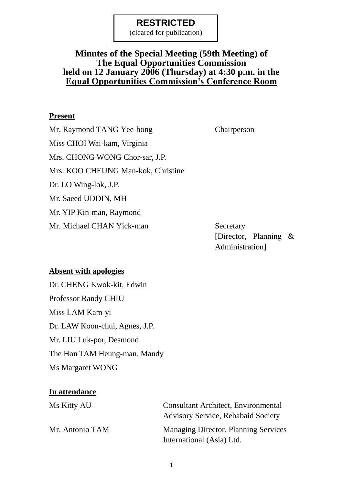(cleared for publication)

### **Minutes of the Special Meeting (59th Meeting) of The Equal Opportunities Commission held on 12 January 2006 (Thursday) at 4:30 p.m. in the Equal Opportunities Commission's Conference Room**

#### **Present**

Mr. Raymond TANG Yee-bong Chairperson Miss CHOI Wai-kam, Virginia Mrs. CHONG WONG Chor-sar, J.P. Mrs. KOO CHEUNG Man-kok, Christine Dr. LO Wing-lok, J.P. Mr. Saeed UDDIN, MH Mr. YIP Kin-man, Raymond Mr. Michael CHAN Yick-man Secretary

[Director, Planning & Administration]

#### **Absent with apologies**

Dr. CHENG Kwok-kit, Edwin Professor Randy CHIU Miss LAM Kam-yi Dr. LAW Koon-chui, Agnes, J.P. Mr. LIU Luk-por, Desmond The Hon TAM Heung-man, Mandy Ms Margaret WONG

#### **In attendance**

| Ms Kitty AU     | <b>Consultant Architect, Environmental</b>  |
|-----------------|---------------------------------------------|
|                 | <b>Advisory Service, Rehabaid Society</b>   |
| Mr. Antonio TAM | <b>Managing Director, Planning Services</b> |
|                 | International (Asia) Ltd.                   |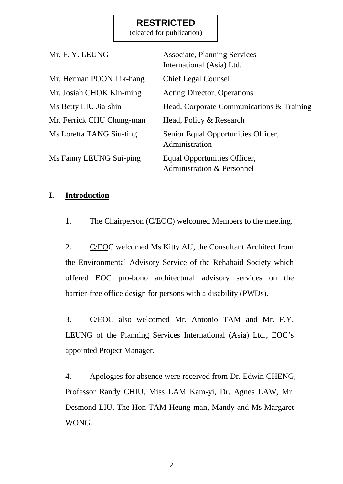(cleared for publication)

| Mr. F. Y. LEUNG           | <b>Associate, Planning Services</b><br>International (Asia) Ltd.      |
|---------------------------|-----------------------------------------------------------------------|
| Mr. Herman POON Lik-hang  | <b>Chief Legal Counsel</b>                                            |
| Mr. Josiah CHOK Kin-ming  | <b>Acting Director, Operations</b>                                    |
| Ms Betty LIU Jia-shin     | Head, Corporate Communications & Training                             |
| Mr. Ferrick CHU Chung-man | Head, Policy & Research                                               |
| Ms Loretta TANG Siu-ting  | Senior Equal Opportunities Officer,<br>Administration                 |
| Ms Fanny LEUNG Sui-ping   | Equal Opportunities Officer,<br><b>Administration &amp; Personnel</b> |

#### **I. Introduction**

1. The Chairperson (C/EOC) welcomed Members to the meeting.

2. C/EOC welcomed Ms Kitty AU, the Consultant Architect from the Environmental Advisory Service of the Rehabaid Society which offered EOC pro-bono architectural advisory services on the barrier-free office design for persons with a disability (PWDs).

3. C/EOC also welcomed Mr. Antonio TAM and Mr. F.Y. LEUNG of the Planning Services International (Asia) Ltd., EOC's appointed Project Manager.

4. Apologies for absence were received from Dr. Edwin CHENG, Professor Randy CHIU, Miss LAM Kam-yi, Dr. Agnes LAW, Mr. Desmond LIU, The Hon TAM Heung-man, Mandy and Ms Margaret WONG.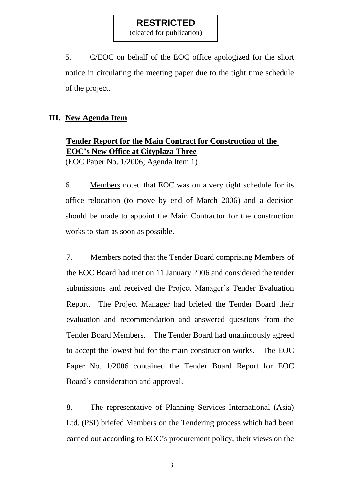(cleared for publication)

5. C/EOC on behalf of the EOC office apologized for the short notice in circulating the meeting paper due to the tight time schedule of the project.

#### **III. New Agenda Item**

# **Tender Report for the Main Contract for Construction of the EOC's New Office at Cityplaza Three** (EOC Paper No. 1/2006; Agenda Item 1)

6. Members noted that EOC was on a very tight schedule for its office relocation (to move by end of March 2006) and a decision should be made to appoint the Main Contractor for the construction works to start as soon as possible.

7. Members noted that the Tender Board comprising Members of the EOC Board had met on 11 January 2006 and considered the tender submissions and received the Project Manager's Tender Evaluation Report. The Project Manager had briefed the Tender Board their evaluation and recommendation and answered questions from the Tender Board Members. The Tender Board had unanimously agreed to accept the lowest bid for the main construction works. The EOC Paper No. 1/2006 contained the Tender Board Report for EOC Board's consideration and approval.

8. The representative of Planning Services International (Asia) Ltd. (PSI) briefed Members on the Tendering process which had been carried out according to EOC's procurement policy, their views on the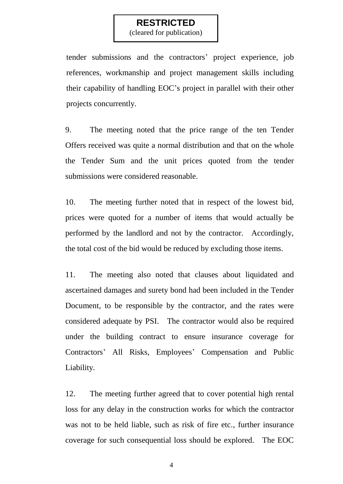(cleared for publication)

tender submissions and the contractors' project experience, job references, workmanship and project management skills including their capability of handling EOC's project in parallel with their other projects concurrently.

9. The meeting noted that the price range of the ten Tender Offers received was quite a normal distribution and that on the whole the Tender Sum and the unit prices quoted from the tender submissions were considered reasonable.

10. The meeting further noted that in respect of the lowest bid, prices were quoted for a number of items that would actually be performed by the landlord and not by the contractor. Accordingly, the total cost of the bid would be reduced by excluding those items.

11. The meeting also noted that clauses about liquidated and ascertained damages and surety bond had been included in the Tender Document, to be responsible by the contractor, and the rates were considered adequate by PSI. The contractor would also be required under the building contract to ensure insurance coverage for Contractors' All Risks, Employees' Compensation and Public Liability.

12. The meeting further agreed that to cover potential high rental loss for any delay in the construction works for which the contractor was not to be held liable, such as risk of fire etc., further insurance coverage for such consequential loss should be explored. The EOC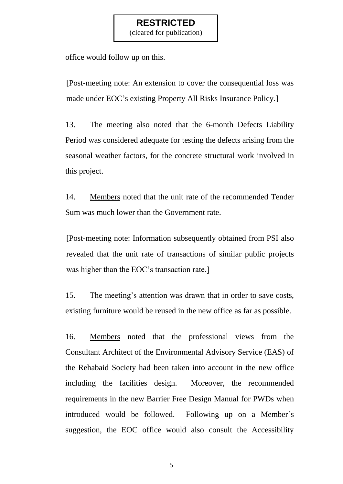(cleared for publication)

office would follow up on this.

[Post-meeting note: An extension to cover the consequential loss was made under EOC's existing Property All Risks Insurance Policy.]

13. The meeting also noted that the 6-month Defects Liability Period was considered adequate for testing the defects arising from the seasonal weather factors, for the concrete structural work involved in this project.

14. Members noted that the unit rate of the recommended Tender Sum was much lower than the Government rate.

[Post-meeting note: Information subsequently obtained from PSI also revealed that the unit rate of transactions of similar public projects was higher than the EOC's transaction rate.]

15. The meeting's attention was drawn that in order to save costs, existing furniture would be reused in the new office as far as possible.

16. Members noted that the professional views from the Consultant Architect of the Environmental Advisory Service (EAS) of the Rehabaid Society had been taken into account in the new office including the facilities design. Moreover, the recommended requirements in the new Barrier Free Design Manual for PWDs when introduced would be followed. Following up on a Member's suggestion, the EOC office would also consult the Accessibility

5